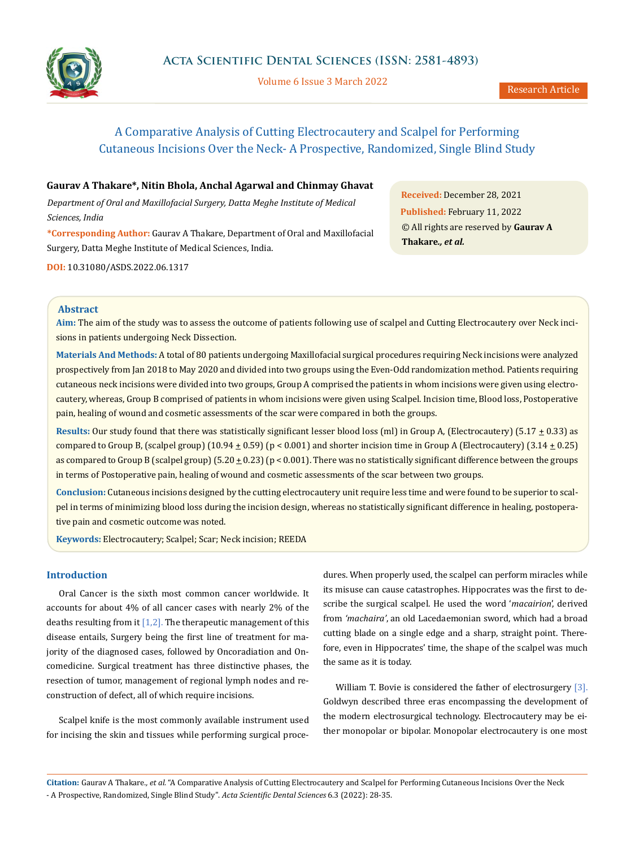

Volume 6 Issue 3 March 2022

# A Comparative Analysis of Cutting Electrocautery and Scalpel for Performing Cutaneous Incisions Over the Neck- A Prospective, Randomized, Single Blind Study

# **Gaurav A Thakare\*, Nitin Bhola, Anchal Agarwal and Chinmay Ghavat**

*Department of Oral and Maxillofacial Surgery, Datta Meghe Institute of Medical Sciences, India*

**\*Corresponding Author:** Gaurav A Thakare, Department of Oral and Maxillofacial Surgery, Datta Meghe Institute of Medical Sciences, India.

**DOI:** [10.31080/ASDS.2022.06.131](http://actascientific.com/ASDS/pdf/ASDS-06-1317.pdf)7

**Received:** December 28, 2021 **Published:** February 11, 2022 © All rights are reserved by **Gaurav A Thakare***., et al.*

# **Abstract**

**Aim:** The aim of the study was to assess the outcome of patients following use of scalpel and Cutting Electrocautery over Neck incisions in patients undergoing Neck Dissection.

**Materials And Methods:** A total of 80 patients undergoing Maxillofacial surgical procedures requiring Neck incisions were analyzed prospectively from Jan 2018 to May 2020 and divided into two groups using the Even-Odd randomization method. Patients requiring cutaneous neck incisions were divided into two groups, Group A comprised the patients in whom incisions were given using electrocautery, whereas, Group B comprised of patients in whom incisions were given using Scalpel. Incision time, Blood loss, Postoperative pain, healing of wound and cosmetic assessments of the scar were compared in both the groups.

**Results:** Our study found that there was statistically significant lesser blood loss (ml) in Group A, (Electrocautery) (5.17  $\pm$  0.33) as compared to Group B, (scalpel group)  $(10.94 \pm 0.59)$  (p < 0.001) and shorter incision time in Group A (Electrocautery)  $(3.14 \pm 0.25)$ as compared to Group B (scalpel group) (5.20  $\pm$  0.23) (p < 0.001). There was no statistically significant difference between the groups in terms of Postoperative pain, healing of wound and cosmetic assessments of the scar between two groups.

**Conclusion:** Cutaneous incisions designed by the cutting electrocautery unit require less time and were found to be superior to scalpel in terms of minimizing blood loss during the incision design, whereas no statistically significant difference in healing, postoperative pain and cosmetic outcome was noted.

**Keywords:** Electrocautery; Scalpel; Scar; Neck incision; REEDA

# **Introduction**

Oral Cancer is the sixth most common cancer worldwide. It accounts for about 4% of all cancer cases with nearly 2% of the deaths resulting from it  $[1,2]$ . The therapeutic management of this disease entails, Surgery being the first line of treatment for majority of the diagnosed cases, followed by Oncoradiation and Oncomedicine. Surgical treatment has three distinctive phases, the resection of tumor, management of regional lymph nodes and reconstruction of defect, all of which require incisions.

Scalpel knife is the most commonly available instrument used for incising the skin and tissues while performing surgical procedures. When properly used, the scalpel can perform miracles while its misuse can cause catastrophes. Hippocrates was the first to describe the surgical scalpel. He used the word '*macairion*', derived from *'machaira'*, an old Lacedaemonian sword, which had a broad cutting blade on a single edge and a sharp, straight point. Therefore, even in Hippocrates' time, the shape of the scalpel was much the same as it is today.

William T. Bovie is considered the father of electrosurgery [3]. Goldwyn described three eras encompassing the development of the modern electrosurgical technology. Electrocautery may be either monopolar or bipolar. Monopolar electrocautery is one most

**Citation:** Gaurav A Thakare*., et al.* "A Comparative Analysis of Cutting Electrocautery and Scalpel for Performing Cutaneous Incisions Over the Neck - A Prospective, Randomized, Single Blind Study". *Acta Scientific Dental Sciences* 6.3 (2022): 28-35.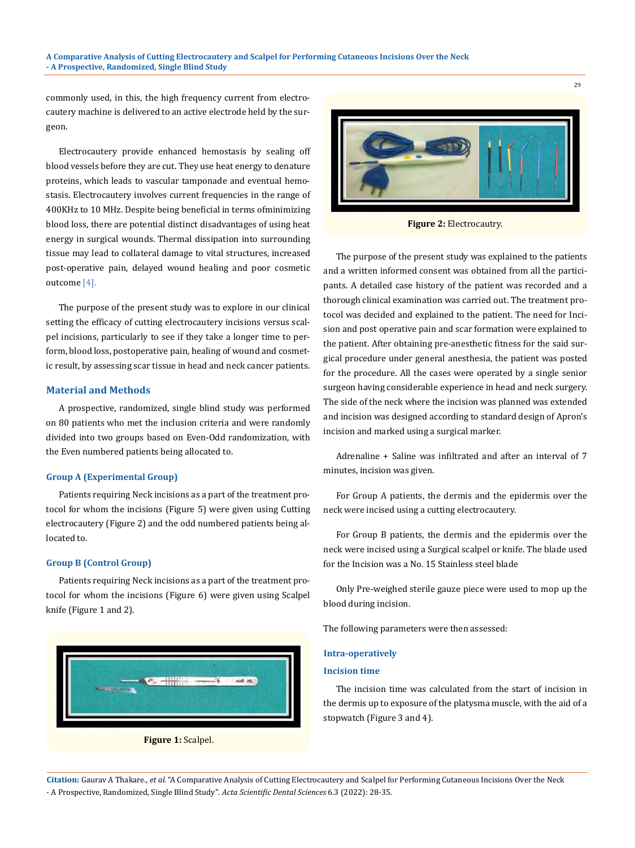commonly used, in this, the high frequency current from electrocautery machine is delivered to an active electrode held by the surgeon.

Electrocautery provide enhanced hemostasis by sealing off blood vessels before they are cut. They use heat energy to denature proteins, which leads to vascular tamponade and eventual hemostasis. Electrocautery involves current frequencies in the range of 400KHz to 10 MHz. Despite being beneficial in terms ofminimizing blood loss, there are potential distinct disadvantages of using heat energy in surgical wounds. Thermal dissipation into surrounding tissue may lead to collateral damage to vital structures, increased post-operative pain, delayed wound healing and poor cosmetic outcome [4].

The purpose of the present study was to explore in our clinical setting the efficacy of cutting electrocautery incisions versus scalpel incisions, particularly to see if they take a longer time to perform, blood loss, postoperative pain, healing of wound and cosmetic result, by assessing scar tissue in head and neck cancer patients.

#### **Material and Methods**

A prospective, randomized, single blind study was performed on 80 patients who met the inclusion criteria and were randomly divided into two groups based on Even-Odd randomization, with the Even numbered patients being allocated to.

#### **Group A (Experimental Group)**

Patients requiring Neck incisions as a part of the treatment protocol for whom the incisions (Figure 5) were given using Cutting electrocautery (Figure 2) and the odd numbered patients being allocated to.

## **Group B (Control Group)**

Patients requiring Neck incisions as a part of the treatment protocol for whom the incisions (Figure 6) were given using Scalpel knife (Figure 1 and 2).





29

**Figure 2:** Electrocautry.

The purpose of the present study was explained to the patients and a written informed consent was obtained from all the participants. A detailed case history of the patient was recorded and a thorough clinical examination was carried out. The treatment protocol was decided and explained to the patient. The need for Incision and post operative pain and scar formation were explained to the patient. After obtaining pre-anesthetic fitness for the said surgical procedure under general anesthesia, the patient was posted for the procedure. All the cases were operated by a single senior surgeon having considerable experience in head and neck surgery. The side of the neck where the incision was planned was extended and incision was designed according to standard design of Apron's incision and marked using a surgical marker.

Adrenaline + Saline was infiltrated and after an interval of 7 minutes, incision was given.

For Group A patients, the dermis and the epidermis over the neck were incised using a cutting electrocautery.

For Group B patients, the dermis and the epidermis over the neck were incised using a Surgical scalpel or knife. The blade used for the Incision was a No. 15 Stainless steel blade

Only Pre-weighed sterile gauze piece were used to mop up the blood during incision.

The following parameters were then assessed:

#### **Intra-operatively**

## **Incision time**

The incision time was calculated from the start of incision in the dermis up to exposure of the platysma muscle, with the aid of a stopwatch (Figure 3 and 4).

**Citation:** Gaurav A Thakare*., et al.* "A Comparative Analysis of Cutting Electrocautery and Scalpel for Performing Cutaneous Incisions Over the Neck - A Prospective, Randomized, Single Blind Study". *Acta Scientific Dental Sciences* 6.3 (2022): 28-35.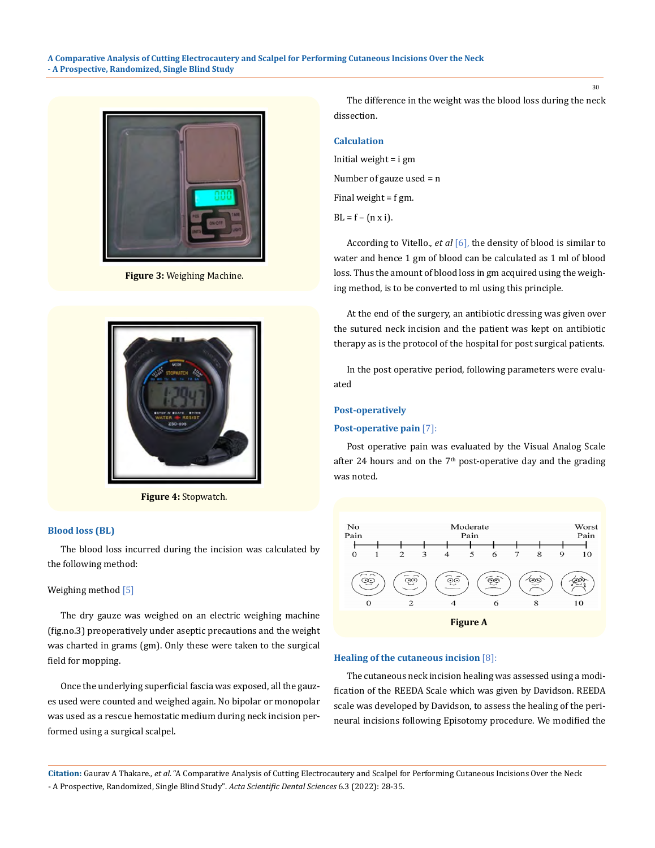

**Figure 3:** Weighing Machine.



**Figure 4:** Stopwatch.

#### **Blood loss (BL)**

The blood loss incurred during the incision was calculated by the following method:

#### Weighing method [5]

The dry gauze was weighed on an electric weighing machine (fig.no.3) preoperatively under aseptic precautions and the weight was charted in grams (gm). Only these were taken to the surgical field for mopping.

Once the underlying superficial fascia was exposed, all the gauzes used were counted and weighed again. No bipolar or monopolar was used as a rescue hemostatic medium during neck incision performed using a surgical scalpel.

The difference in the weight was the blood loss during the neck dissection.

## **Calculation**

Initial weight = i gm Number of gauze used = n Final weight = f gm.  $BL = f - (n \times i).$ 

According to Vitello., *et al* [6], the density of blood is similar to water and hence 1 gm of blood can be calculated as 1 ml of blood loss. Thus the amount of blood loss in gm acquired using the weighing method, is to be converted to ml using this principle.

At the end of the surgery, an antibiotic dressing was given over the sutured neck incision and the patient was kept on antibiotic therapy as is the protocol of the hospital for post surgical patients.

In the post operative period, following parameters were evaluated

#### **Post-operatively**

#### **Post-operative pain** [7]:

Post operative pain was evaluated by the Visual Analog Scale after 24 hours and on the  $7<sup>th</sup>$  post-operative day and the grading was noted.



#### **Healing of the cutaneous incision** [8]:

The cutaneous neck incision healing was assessed using a modification of the REEDA Scale which was given by Davidson. REEDA scale was developed by Davidson, to assess the healing of the perineural incisions following Episotomy procedure. We modified the

**Citation:** Gaurav A Thakare*., et al.* "A Comparative Analysis of Cutting Electrocautery and Scalpel for Performing Cutaneous Incisions Over the Neck - A Prospective, Randomized, Single Blind Study". *Acta Scientific Dental Sciences* 6.3 (2022): 28-35.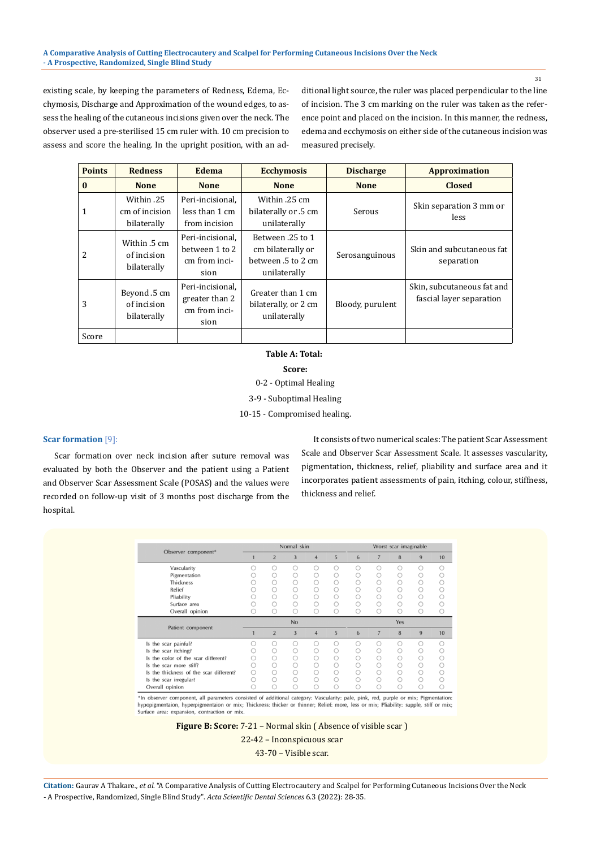#### **A Comparative Analysis of Cutting Electrocautery and Scalpel for Performing Cutaneous Incisions Over the Neck - A Prospective, Randomized, Single Blind Study**

existing scale, by keeping the parameters of Redness, Edema, Ecchymosis, Discharge and Approximation of the wound edges, to assess the healing of the cutaneous incisions given over the neck. The observer used a pre-sterilised 15 cm ruler with. 10 cm precision to assess and score the healing. In the upright position, with an additional light source, the ruler was placed perpendicular to the line of incision. The 3 cm marking on the ruler was taken as the reference point and placed on the incision. In this manner, the redness, edema and ecchymosis on either side of the cutaneous incision was measured precisely.

| <b>Points</b> | <b>Redness</b>                              | Edema                                                       | <b>Ecchymosis</b>                                                           | <b>Discharge</b> | <b>Approximation</b>                                   |
|---------------|---------------------------------------------|-------------------------------------------------------------|-----------------------------------------------------------------------------|------------------|--------------------------------------------------------|
| $\bf{0}$      | <b>None</b>                                 | <b>None</b>                                                 | <b>None</b>                                                                 | <b>None</b>      | <b>Closed</b>                                          |
| 1             | Within .25<br>cm of incision<br>bilaterally | Peri-incisional,<br>less than 1 cm<br>from incision         | Within .25 cm<br>bilaterally or .5 cm<br>unilaterally                       | Serous           | Skin separation 3 mm or<br>less                        |
| 2             | Within .5 cm<br>of incision<br>bilaterally  | Peri-incisional.<br>between 1 to 2<br>cm from inci-<br>sion | Between .25 to 1<br>cm bilaterally or<br>between .5 to 2 cm<br>unilaterally | Serosanguinous   | Skin and subcutaneous fat<br>separation                |
| 3             | Beyond .5 cm<br>of incision<br>bilaterally  | Peri-incisional.<br>greater than 2<br>cm from inci-<br>sion | Greater than 1 cm<br>bilaterally, or 2 cm<br>unilaterally                   | Bloody, purulent | Skin, subcutaneous fat and<br>fascial layer separation |
| Score         |                                             |                                                             |                                                                             |                  |                                                        |

 **Table A: Total: Score:** 0-2 - Optimal Healing 3-9 - Suboptimal Healing

10-15 - Compromised healing.

## **Scar formation** [9]:

Scar formation over neck incision after suture removal was evaluated by both the Observer and the patient using a Patient and Observer Scar Assessment Scale (POSAS) and the values were recorded on follow-up visit of 3 months post discharge from the hospital.

It consists of two numerical scales: The patient Scar Assessment Scale and Observer Scar Assessment Scale. It assesses vascularity, pigmentation, thickness, relief, pliability and surface area and it incorporates patient assessments of pain, itching, colour, stiffness, thickness and relief.

|                                         | Normal skin |                |   |   |     | Worst scar imaginable |                |   |   |    |
|-----------------------------------------|-------------|----------------|---|---|-----|-----------------------|----------------|---|---|----|
| Observer component*                     |             | $\overline{2}$ | 3 | 4 | 5   | 6                     |                | 8 | 9 | 10 |
| Vascularity                             |             |                | С | ∩ |     | ∩                     |                | ∩ |   |    |
| Pigmentation                            |             |                |   | C |     |                       |                |   |   |    |
| Thickness                               |             |                |   |   |     |                       |                |   |   |    |
| Relief                                  |             |                |   |   |     |                       |                |   |   |    |
| Pliability                              |             |                |   |   |     |                       |                |   |   |    |
| Surface area                            |             |                |   |   |     |                       |                |   |   |    |
| Overall opinion                         |             |                |   | П |     |                       |                |   |   |    |
|                                         | No          |                |   |   | Yes |                       |                |   |   |    |
| Patient component                       |             | $\overline{2}$ | 3 | 4 | 5   | 6                     | $\overline{7}$ | 8 | 9 | 10 |
| Is the scar painful?                    |             |                |   |   |     |                       |                |   |   |    |
| Is the scar itching?                    |             |                |   | ∩ |     |                       |                |   |   |    |
| Is the color of the scar different?     |             |                |   |   |     |                       |                |   |   |    |
| Is the scar more stiff?                 |             |                |   |   |     |                       |                |   |   |    |
| Is the thickness of the scar different? |             |                |   |   |     |                       |                |   |   |    |
| Is the scar irregular?                  |             |                |   |   |     |                       |                |   |   |    |
| Overall opinion                         |             |                | C | U | O   |                       |                |   |   |    |

\*In observer component, all parameters consisted of additional category: Vascularity: pale, pink, red, purple or mix; Pigmentation: hypopigmentaion, hyperpigmentaion or mix; Thickness: thicker or thinner; Relief: more, less or mix; Pliability: supple, stiff or mix; urface area: expar on, contraction or mix

**Figure B: Score:** 7-21 – Normal skin ( Absence of visible scar )

22-42 – Inconspicuous scar

43-70 – Visible scar.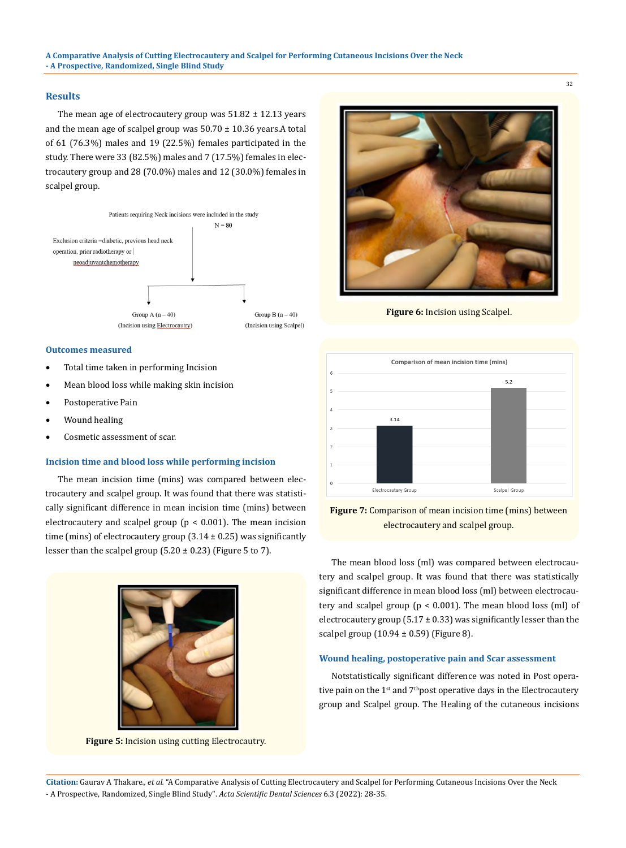#### **Results**

The mean age of electrocautery group was  $51.82 \pm 12.13$  years and the mean age of scalpel group was  $50.70 \pm 10.36$  years. A total of 61 (76.3%) males and 19 (22.5%) females participated in the study. There were 33 (82.5%) males and 7 (17.5%) females in electrocautery group and 28 (70.0%) males and 12 (30.0%) females in scalpel group.



#### **Outcomes measured**

- Total time taken in performing Incision
- Mean blood loss while making skin incision
- Postoperative Pain
- Wound healing
- Cosmetic assessment of scar.

## **Incision time and blood loss while performing incision**

The mean incision time (mins) was compared between electrocautery and scalpel group. It was found that there was statistically significant difference in mean incision time (mins) between electrocautery and scalpel group ( $p < 0.001$ ). The mean incision time (mins) of electrocautery group  $(3.14 \pm 0.25)$  was significantly lesser than the scalpel group  $(5.20 \pm 0.23)$  (Figure 5 to 7).



**Figure 5:** Incision using cutting Electrocautry.



32

**Figure 6:** Incision using Scalpel.





The mean blood loss (ml) was compared between electrocautery and scalpel group. It was found that there was statistically significant difference in mean blood loss (ml) between electrocautery and scalpel group ( $p < 0.001$ ). The mean blood loss (ml) of electrocautery group (5.17  $\pm$  0.33) was significantly lesser than the scalpel group  $(10.94 \pm 0.59)$  (Figure 8).

#### **Wound healing, postoperative pain and Scar assessment**

Notstatistically significant difference was noted in Post operative pain on the 1<sup>st</sup> and 7<sup>th</sup>post operative days in the Electrocautery group and Scalpel group. The Healing of the cutaneous incisions

**Citation:** Gaurav A Thakare*., et al.* "A Comparative Analysis of Cutting Electrocautery and Scalpel for Performing Cutaneous Incisions Over the Neck - A Prospective, Randomized, Single Blind Study". *Acta Scientific Dental Sciences* 6.3 (2022): 28-35.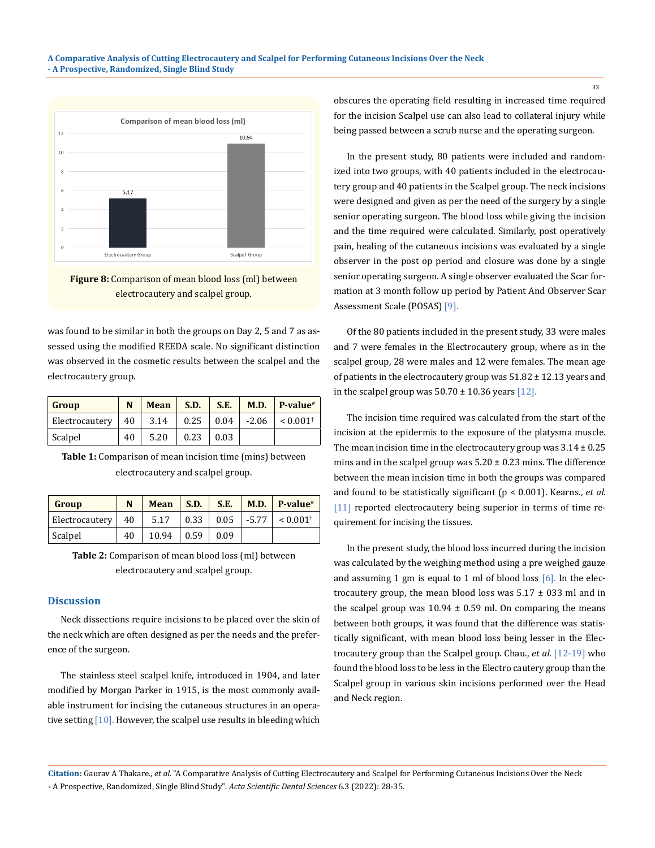



was found to be similar in both the groups on Day 2, 5 and 7 as assessed using the modified REEDA scale. No significant distinction was observed in the cosmetic results between the scalpel and the electrocautery group.

| Group          | N  | Mean | <b>S.D.</b> | S.E. | M.D.    | $P-value$ <sup>#</sup> |
|----------------|----|------|-------------|------|---------|------------------------|
| Electrocautery | 40 | 3.14 | 0.25        | 0.04 | $-2.06$ | $< 0.001$ <sup>+</sup> |
| Scalpel        | 40 | 5.20 | 0.23        | 0.03 |         |                        |

**Table 1:** Comparison of mean incision time (mins) between electrocautery and scalpel group.

| Group                 | N   | Mean  | S.D. | S.E. |              | $\mid$ M.D. $\mid$ P-value <sup>#</sup> |
|-----------------------|-----|-------|------|------|--------------|-----------------------------------------|
| <b>Electrocautery</b> | -40 | 5.17  | 0.33 |      | $0.05$ -5.77 | $< 0.001$ <sup>+</sup>                  |
| Scalpel               | 40  | 10.94 | 0.59 | 0.09 |              |                                         |

**Table 2:** Comparison of mean blood loss (ml) between electrocautery and scalpel group.

#### **Discussion**

Neck dissections require incisions to be placed over the skin of the neck which are often designed as per the needs and the preference of the surgeon.

The stainless steel scalpel knife, introduced in 1904, and later modified by Morgan Parker in 1915, is the most commonly available instrument for incising the cutaneous structures in an operative setting [10]. However, the scalpel use results in bleeding which obscures the operating field resulting in increased time required for the incision Scalpel use can also lead to collateral injury while being passed between a scrub nurse and the operating surgeon.

In the present study, 80 patients were included and randomized into two groups, with 40 patients included in the electrocautery group and 40 patients in the Scalpel group. The neck incisions were designed and given as per the need of the surgery by a single senior operating surgeon. The blood loss while giving the incision and the time required were calculated. Similarly, post operatively pain, healing of the cutaneous incisions was evaluated by a single observer in the post op period and closure was done by a single senior operating surgeon. A single observer evaluated the Scar formation at 3 month follow up period by Patient And Observer Scar Assessment Scale (POSAS) [9].

Of the 80 patients included in the present study, 33 were males and 7 were females in the Electrocautery group, where as in the scalpel group, 28 were males and 12 were females. The mean age of patients in the electrocautery group was 51.82 ± 12.13 years and in the scalpel group was  $50.70 \pm 10.36$  years [12].

The incision time required was calculated from the start of the incision at the epidermis to the exposure of the platysma muscle. The mean incision time in the electrocautery group was  $3.14 \pm 0.25$ mins and in the scalpel group was  $5.20 \pm 0.23$  mins. The difference between the mean incision time in both the groups was compared and found to be statistically significant (p < 0.001). Kearns., *et al.* [11] reported electrocautery being superior in terms of time requirement for incising the tissues.

In the present study, the blood loss incurred during the incision was calculated by the weighing method using a pre weighed gauze and assuming 1 gm is equal to 1 ml of blood loss  $[6]$ . In the electrocautery group, the mean blood loss was  $5.17 \pm 0.33$  ml and in the scalpel group was  $10.94 \pm 0.59$  ml. On comparing the means between both groups, it was found that the difference was statistically significant, with mean blood loss being lesser in the Electrocautery group than the Scalpel group. Chau., *et al.* [12-19] who found the blood loss to be less in the Electro cautery group than the Scalpel group in various skin incisions performed over the Head and Neck region.

**Citation:** Gaurav A Thakare*., et al.* "A Comparative Analysis of Cutting Electrocautery and Scalpel for Performing Cutaneous Incisions Over the Neck - A Prospective, Randomized, Single Blind Study". *Acta Scientific Dental Sciences* 6.3 (2022): 28-35.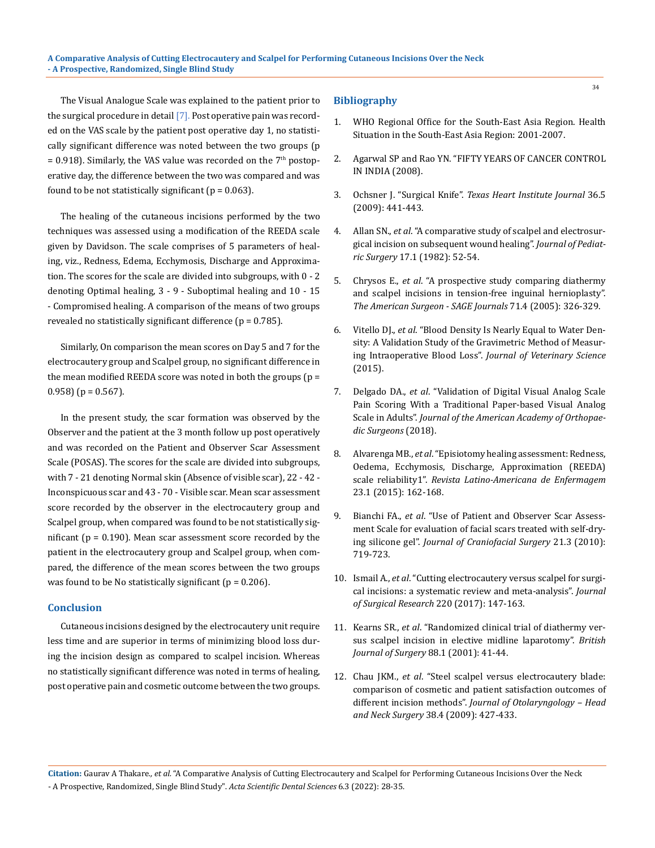The Visual Analogue Scale was explained to the patient prior to the surgical procedure in detail [7]. Post operative pain was recorded on the VAS scale by the patient post operative day 1, no statistically significant difference was noted between the two groups (p  $= 0.918$ ). Similarly, the VAS value was recorded on the  $7<sup>th</sup>$  postoperative day, the difference between the two was compared and was found to be not statistically significant ( $p = 0.063$ ).

The healing of the cutaneous incisions performed by the two techniques was assessed using a modification of the REEDA scale given by Davidson. The scale comprises of 5 parameters of healing, viz., Redness, Edema, Ecchymosis, Discharge and Approximation. The scores for the scale are divided into subgroups, with 0 - 2 denoting Optimal healing, 3 - 9 - Suboptimal healing and 10 - 15 - Compromised healing. A comparison of the means of two groups revealed no statistically significant difference  $(p = 0.785)$ .

Similarly, On comparison the mean scores on Day 5 and 7 for the electrocautery group and Scalpel group, no significant difference in the mean modified REEDA score was noted in both the groups  $(p =$ 0.958) ( $p = 0.567$ ).

In the present study, the scar formation was observed by the Observer and the patient at the 3 month follow up post operatively and was recorded on the Patient and Observer Scar Assessment Scale (POSAS). The scores for the scale are divided into subgroups, with 7 - 21 denoting Normal skin (Absence of visible scar), 22 - 42 - Inconspicuous scar and 43 - 70 - Visible scar. Mean scar assessment score recorded by the observer in the electrocautery group and Scalpel group, when compared was found to be not statistically significant ( $p = 0.190$ ). Mean scar assessment score recorded by the patient in the electrocautery group and Scalpel group, when compared, the difference of the mean scores between the two groups was found to be No statistically significant ( $p = 0.206$ ).

## **Conclusion**

Cutaneous incisions designed by the electrocautery unit require less time and are superior in terms of minimizing blood loss during the incision design as compared to scalpel incision. Whereas no statistically significant difference was noted in terms of healing, post operative pain and cosmetic outcome between the two groups.

## **Bibliography**

- 1. [WHO Regional Office for the South-East Asia Region. Health](https://apps.who.int/iris/handle/10665/205256)  [Situation in the South-East Asia Region: 2001-2007.](https://apps.who.int/iris/handle/10665/205256)
- 2. Agarwal SP and Rao YN. "FIFTY YEARS OF CANCER CONTROL IN INDIA (2008).
- 3. Ochsner J. "Surgical Knife". *[Texas Heart Institute Journal](https://www.ncbi.nlm.nih.gov/pmc/articles/PMC2763477/)* 36.5 [\(2009\): 441-443.](https://www.ncbi.nlm.nih.gov/pmc/articles/PMC2763477/)
- 4. Allan SN., *et al*[. "A comparative study of scalpel and electrosur](https://pubmed.ncbi.nlm.nih.gov/7077476/)[gical incision on subsequent wound healing".](https://pubmed.ncbi.nlm.nih.gov/7077476/) *Journal of Pediatric Surgery* [17.1 \(1982\): 52-54.](https://pubmed.ncbi.nlm.nih.gov/7077476/)
- 5. Chrysos E., *et al*[. "A prospective study comparing diathermy](https://pubmed.ncbi.nlm.nih.gov/15943407/)  [and scalpel incisions in tension-free inguinal hernioplasty".](https://pubmed.ncbi.nlm.nih.gov/15943407/)  *[The American Surgeon - SAGE Journals](https://pubmed.ncbi.nlm.nih.gov/15943407/)* 71.4 (2005): 326-329.
- 6. Vitello DJ., *et al*[. "Blood Density Is Nearly Equal to Water Den](https://pubmed.ncbi.nlm.nih.gov/26464949/)[sity: A Validation Study of the Gravimetric Method of Measur](https://pubmed.ncbi.nlm.nih.gov/26464949/)ing Intraoperative Blood Loss". *[Journal of Veterinary Science](https://pubmed.ncbi.nlm.nih.gov/26464949/)* [\(2015\).](https://pubmed.ncbi.nlm.nih.gov/26464949/)
- 7. Delgado DA., *et al*[. "Validation of Digital Visual Analog Scale](https://www.ncbi.nlm.nih.gov/pmc/articles/PMC6132313/)  [Pain Scoring With a Traditional Paper-based Visual Analog](https://www.ncbi.nlm.nih.gov/pmc/articles/PMC6132313/)  Scale in Adults". *[Journal of the American Academy of Orthopae](https://www.ncbi.nlm.nih.gov/pmc/articles/PMC6132313/)[dic Surgeons](https://www.ncbi.nlm.nih.gov/pmc/articles/PMC6132313/)* (2018).
- 8. Alvarenga MB., *et al*[. "Episiotomy healing assessment: Redness,](https://www.ncbi.nlm.nih.gov/pmc/articles/PMC4376045/)  [Oedema, Ecchymosis, Discharge, Approximation \(REEDA\)](https://www.ncbi.nlm.nih.gov/pmc/articles/PMC4376045/)  scale reliability1". *[Revista Latino-Americana de Enfermagem](https://www.ncbi.nlm.nih.gov/pmc/articles/PMC4376045/)*  [23.1 \(2015\): 162-168.](https://www.ncbi.nlm.nih.gov/pmc/articles/PMC4376045/)
- 9. Bianchi FA., *et al*[. "Use of Patient and Observer Scar Assess](https://pubmed.ncbi.nlm.nih.gov/20485035/)[ment Scale for evaluation of facial scars treated with self-dry](https://pubmed.ncbi.nlm.nih.gov/20485035/)ing silicone gel". *[Journal of Craniofacial Surgery](https://pubmed.ncbi.nlm.nih.gov/20485035/)* 21.3 (2010): [719-723.](https://pubmed.ncbi.nlm.nih.gov/20485035/)
- 10. Ismail A., *et al*[. "Cutting electrocautery versus scalpel for surgi](https://pubmed.ncbi.nlm.nih.gov/29180177/)[cal incisions: a systematic review and meta-analysis".](https://pubmed.ncbi.nlm.nih.gov/29180177/) *Journal [of Surgical Research](https://pubmed.ncbi.nlm.nih.gov/29180177/)* 220 (2017): 147-163.
- 11. Kearns SR., *et al*[. "Randomized clinical trial of diathermy ver](https://pubmed.ncbi.nlm.nih.gov/11136307/)[sus scalpel incision in elective midline laparotomy".](https://pubmed.ncbi.nlm.nih.gov/11136307/) *British [Journal of Surgery](https://pubmed.ncbi.nlm.nih.gov/11136307/)* 88.1 (2001): 41-44.
- 12. Chau JKM., *et al*[. "Steel scalpel versus electrocautery blade:](https://pubmed.ncbi.nlm.nih.gov/19755082/)  [comparison of cosmetic and patient satisfaction outcomes of](https://pubmed.ncbi.nlm.nih.gov/19755082/)  different incision methods". *[Journal of Otolaryngology – Head](https://pubmed.ncbi.nlm.nih.gov/19755082/)  and Neck Surgery* [38.4 \(2009\): 427-433.](https://pubmed.ncbi.nlm.nih.gov/19755082/)

**Citation:** Gaurav A Thakare*., et al.* "A Comparative Analysis of Cutting Electrocautery and Scalpel for Performing Cutaneous Incisions Over the Neck - A Prospective, Randomized, Single Blind Study". *Acta Scientific Dental Sciences* 6.3 (2022): 28-35.